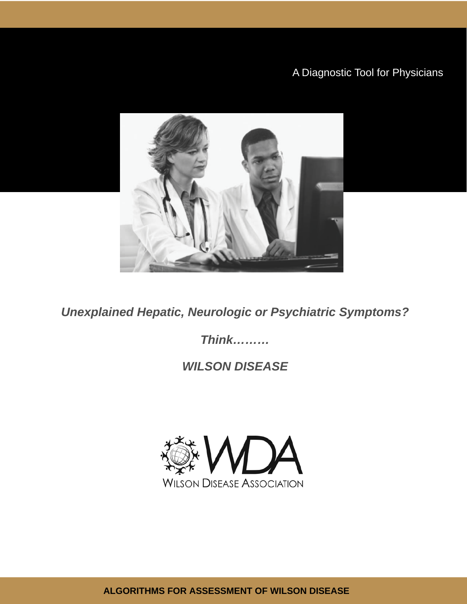# A Diagnostic Tool for Physicians



**Unexplained Hepatic, Neurologic or Psychiatric Symptoms?** 

**Think.........** 

# **WILSON DISEASE**



ALGORITHMS FOR ASSESSMENT OF WILSON DISEASE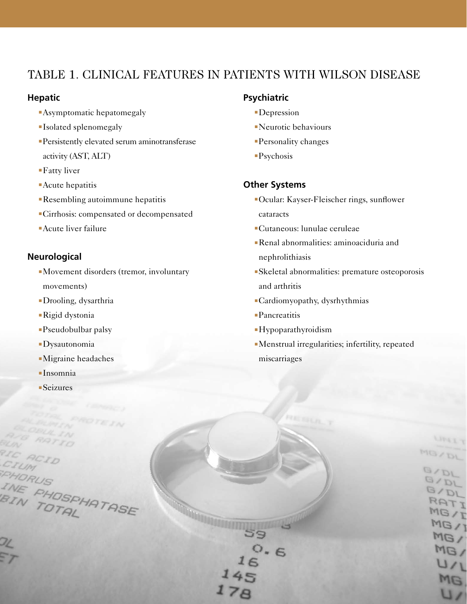### Table 1. Clinical Features in Patients with Wilson Disease

#### **Hepatic**

- **Asymptomatic hepatomegaly**
- **Isolated splenomegaly**
- <sup>n</sup>Persistently elevated serum aminotransferase activity (AST, ALT)
- $\blacksquare$  Fatty liver
- $\n **Acute** he$  hepatitis
- **Resembling autoimmune hepatitis**
- <sup>n</sup>Cirrhosis: compensated or decompensated
- **Acute liver failure**

### **Neurological**

- Movement disorders (tremor, involuntary movements)
- <sup>n</sup>Drooling, dysarthria
- ■Rigid dystonia
- <sup>n</sup>Pseudobulbar palsy
- **Dysautonomia**
- <sup>n</sup>Migraine headaches

E PHOSPHATASE

IN TOTAL

- $In somnia$
- $S$ eizures

#### **Psychiatric**

- Depression
- $\blacksquare$ Neurotic behaviours
- <sup>n</sup>Personality changes
- $\blacksquare$ Psychosis

### **Other Systems**

- <sup>n</sup>Ocular: Kayser-Fleischer rings, sunflower cataracts
- <sup>n</sup>Cutaneous: lunulae ceruleae
- <sup>n</sup>Renal abnormalities: aminoaciduria and nephrolithiasis
- <sup>n</sup>Skeletal abnormalities: premature osteoporosis and arthritis
- <sup>n</sup>Cardiomyopathy, dysrhythmias
- **-Pancreatitis**

59

 $178$ 

 $0.6$ 

- **Hypoparathyroidism**
- <sup>n</sup>Menstrual irregularities; infertility, repeated miscarriages

LIFEET

 $16/1$ MG/

MG/  $U/L$ MG.

 $U/1$ 

**MGYDL** 

BYDL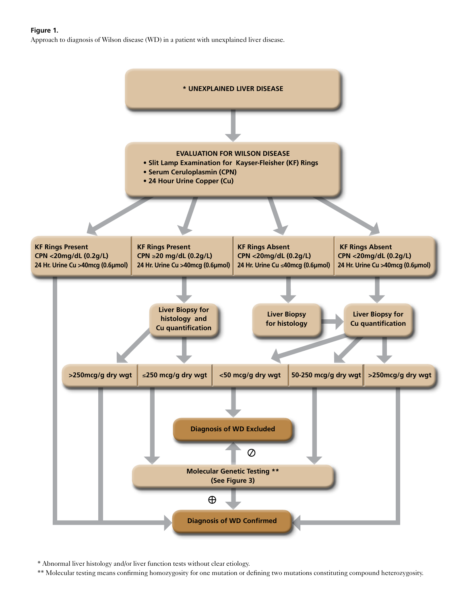**Figure 1.** 

Approach to diagnosis of Wilson disease (WD) in a patient with unexplained liver disease.



\* Abnormal liver histology and/or liver function tests without clear etiology.

\*\* Molecular testing means confirming homozygosity for one mutation or defining two mutations constituting compound heterozygosity.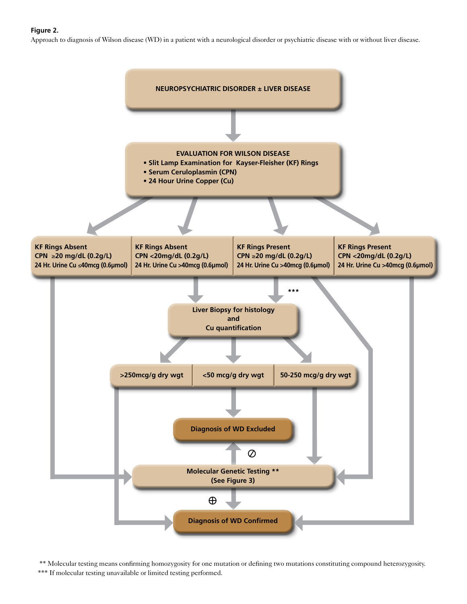#### **Figure 2.**

Approach to diagnosis of Wilson disease (WD) in a patient with a neurological disorder or psychiatric disease with or without liver disease.



 \*\* Molecular testing means confirming homozygosity for one mutation or defining two mutations constituting compound heterozygosity. \*\*\* If molecular testing unavailable or limited testing performed.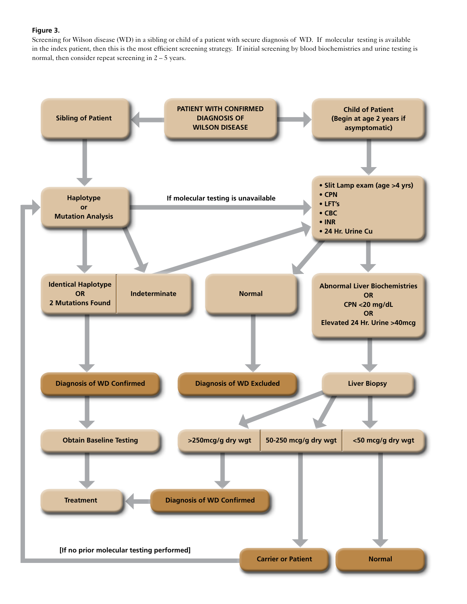#### **Figure 3.**

Screening for Wilson disease (WD) in a sibling or child of a patient with secure diagnosis of WD. If molecular testing is available in the index patient, then this is the most efficient screening strategy. If initial screening by blood biochemistries and urine testing is normal, then consider repeat screening in 2 – 5 years.